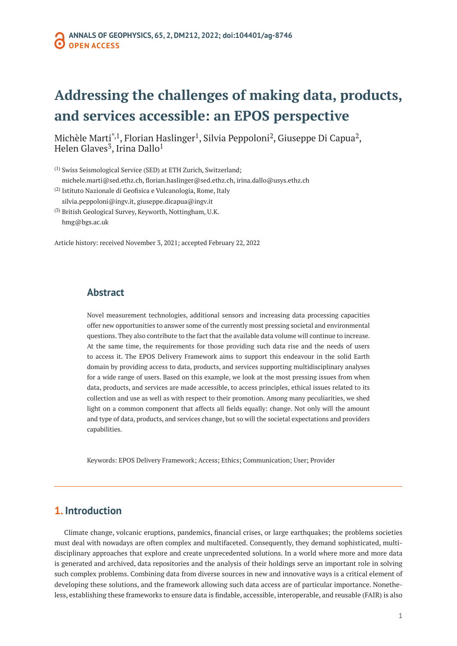# **Addressing the challenges of making data, products, and services accessible: an EPOS perspective**

Michèle Marti<sup>\*,1</sup>, Florian Haslinger<sup>1</sup>, Silvia Peppoloni<sup>2</sup>, Giuseppe Di Capua<sup>2</sup>, Helen Glaves<sup>3</sup>, Irina Dallo<sup>1</sup>

(1) Swiss Seismological Service (SED) at ETH Zurich, Switzerland; [michele.marti@sed.ethz.ch,](mailto:michele.marti@sed.ethz.ch) [florian.haslinger@sed.ethz.ch](mailto:florian.haslinger@sed.ethz.ch), [irina.dallo@usys.ethz.ch](mailto:irina.dallo@usys.ethz.ch)

- (2) Istituto Nazionale di Geofisica e Vulcanologia, Rome, Italy [silvia.peppoloni@ingv.it](mailto:silvia.peppoloni@ingv.it), [giuseppe.dicapua@ingv.it](mailto:giuseppe.dicapua@ingv.it)
- (3) British Geological Survey, Keyworth, Nottingham, U.K. [hmg@bgs.ac.uk](mailto:hmg@bgs.ac.uk)

Article history: received November 3, 2021; accepted February 22, 2022

# **Abstract**

Novel measurement technologies, additional sensors and increasing data processing capacities offer new opportunities to answer some of the currently most pressing societal and environmental questions. They also contribute to the fact that the available data volume will continue to increase. At the same time, the requirements for those providing such data rise and the needs of users to access it. The EPOS Delivery Framework aims to support this endeavour in the solid Earth domain by providing access to data, products, and services supporting multidisciplinary analyses for a wide range of users. Based on this example, we look at the most pressing issues from when data, products, and services are made accessible, to access principles, ethical issues related to its collection and use as well as with respect to their promotion. Among many peculiarities, we shed light on a common component that affects all fields equally: change. Not only will the amount and type of data, products, and services change, but so will the societal expectations and providers capabilities.

Keywords: EPOS Delivery Framework; Access; Ethics; Communication; User; Provider

# **1. Introduction**

Climate change, volcanic eruptions, pandemics, financial crises, or large earthquakes; the problems societies must deal with nowadays are often complex and multifaceted. Consequently, they demand sophisticated, multidisciplinary approaches that explore and create unprecedented solutions. In a world where more and more data is generated and archived, data repositories and the analysis of their holdings serve an important role in solving such complex problems. Combining data from diverse sources in new and innovative ways is a critical element of developing these solutions, and the framework allowing such data access are of particular importance. Nonetheless, establishing these frameworks to ensure data is findable, accessible, interoperable, and reusable (FAIR) is also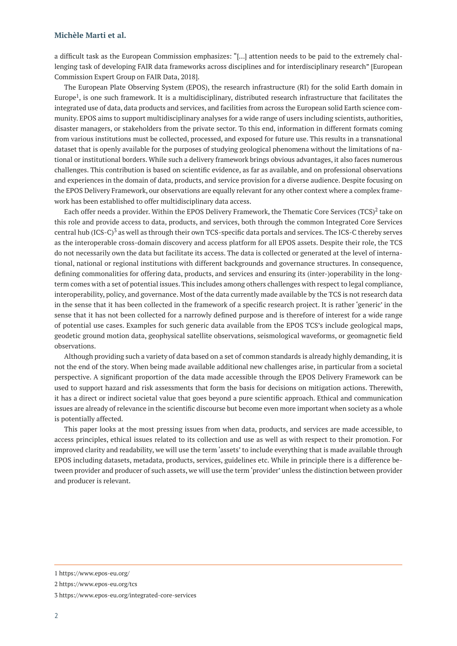a difficult task as the European Commission emphasizes: "[…] attention needs to be paid to the extremely challenging task of developing FAIR data frameworks across disciplines and for interdisciplinary research" [European Commission Expert Group on FAIR Data, 2018].

The European Plate Observing System (EPOS), the research infrastructure (RI) for the solid Earth domain in Europe1, is one such framework. It is a multidisciplinary, distributed research infrastructure that facilitates the integrated use of data, data products and services, and facilities from across the European solid Earth science community. EPOS aims to support multidisciplinary analyses for a wide range of users including scientists, authorities, disaster managers, or stakeholders from the private sector. To this end, information in different formats coming from various institutions must be collected, processed, and exposed for future use. This results in a transnational dataset that is openly available for the purposes of studying geological phenomena without the limitations of national or institutional borders. While such a delivery framework brings obvious advantages, it also faces numerous challenges. This contribution is based on scientific evidence, as far as available, and on professional observations and experiences in the domain of data, products, and service provision for a diverse audience. Despite focusing on the EPOS Delivery Framework, our observations are equally relevant for any other context where a complex framework has been established to offer multidisciplinary data access.

Each offer needs a provider. Within the EPOS Delivery Framework, the Thematic Core Services  $(TCS)^2$  take on this role and provide access to data, products, and services, both through the common Integrated Core Services central hub (ICS-C)<sup>3</sup> as well as through their own TCS-specific data portals and services. The ICS-C thereby serves as the interoperable cross-domain discovery and access platform for all EPOS assets. Despite their role, the TCS do not necessarily own the data but facilitate its access. The data is collected or generated at the level of international, national or regional institutions with different backgrounds and governance structures. In consequence, defining commonalities for offering data, products, and services and ensuring its (inter-)operability in the longterm comes with a set of potential issues. This includes among others challenges with respect to legal compliance, interoperability, policy, and governance. Most of the data currently made available by the TCS is not research data in the sense that it has been collected in the framework of a specific research project. It is rather 'generic' in the sense that it has not been collected for a narrowly defined purpose and is therefore of interest for a wide range of potential use cases. Examples for such generic data available from the EPOS TCS's include geological maps, geodetic ground motion data, geophysical satellite observations, seismological waveforms, or geomagnetic field observations.

Although providing such a variety of data based on a set of common standards is already highly demanding, it is not the end of the story. When being made available additional new challenges arise, in particular from a societal perspective. A significant proportion of the data made accessible through the EPOS Delivery Framework can be used to support hazard and risk assessments that form the basis for decisions on mitigation actions. Therewith, it has a direct or indirect societal value that goes beyond a pure scientific approach. Ethical and communication issues are already of relevance in the scientific discourse but become even more important when society as a whole is potentially affected.

This paper looks at the most pressing issues from when data, products, and services are made accessible, to access principles, ethical issues related to its collection and use as well as with respect to their promotion. For improved clarity and readability, we will use the term 'assets' to include everything that is made available through EPOS including datasets, metadata, products, services, guidelines etc. While in principle there is a difference between provider and producer of such assets, we will use the term 'provider' unless the distinction between provider and producer is relevant.

<sup>1</sup><https://www.epos-eu.org/>

<sup>2</sup><https://www.epos-eu.org/tcs>

<sup>3</sup><https://www.epos-eu.org/integrated-core-services>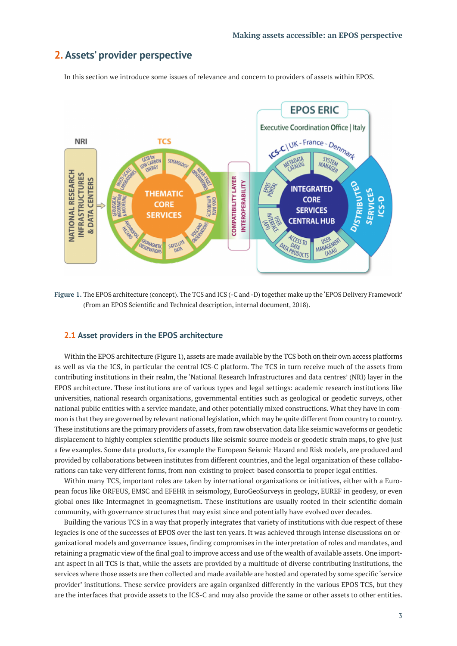# **2. Assets' provider perspective**

In this section we introduce some issues of relevance and concern to providers of assets within EPOS.



**Figure 1.** The EPOS architecture (concept). The TCS and ICS (-C and -D) together make up the 'EPOS Delivery Framework' (From an EPOS Scientific and Technical description, internal document, 2018).

## **2.1 Asset providers in the EPOS architecture**

Within the EPOS architecture (Figure 1), assets are made available by the TCS both on their own access platforms as well as via the ICS, in particular the central ICS-C platform. The TCS in turn receive much of the assets from contributing institutions in their realm, the 'National Research Infrastructures and data centres' (NRI) layer in the EPOS architecture. These institutions are of various types and legal settings: academic research institutions like universities, national research organizations, governmental entities such as geological or geodetic surveys, other national public entities with a service mandate, and other potentially mixed constructions. What they have in common is that they are governed by relevant national legislation, which may be quite different from country to country. These institutions are the primary providers of assets, from raw observation data like seismic waveforms or geodetic displacement to highly complex scientific products like seismic source models or geodetic strain maps, to give just a few examples. Some data products, for example the European Seismic Hazard and Risk models, are produced and provided by collaborations between institutes from different countries, and the legal organization of these collaborations can take very different forms, from non-existing to project-based consortia to proper legal entities.

Within many TCS, important roles are taken by international organizations or initiatives, either with a European focus like ORFEUS, EMSC and EFEHR in seismology, EuroGeoSurveys in geology, EUREF in geodesy, or even global ones like Intermagnet in geomagnetism. These institutions are usually rooted in their scientific domain community, with governance structures that may exist since and potentially have evolved over decades.

Building the various TCS in a way that properly integrates that variety of institutions with due respect of these legacies is one of the successes of EPOS over the last ten years. It was achieved through intense discussions on organizational models and governance issues, finding compromises in the interpretation of roles and mandates, and retaining a pragmatic view of the final goal to improve access and use of the wealth of available assets. One important aspect in all TCS is that, while the assets are provided by a multitude of diverse contributing institutions, the services where those assets are then collected and made available are hosted and operated by some specific 'service provider' institutions. These service providers are again organized differently in the various EPOS TCS, but they are the interfaces that provide assets to the ICS-C and may also provide the same or other assets to other entities.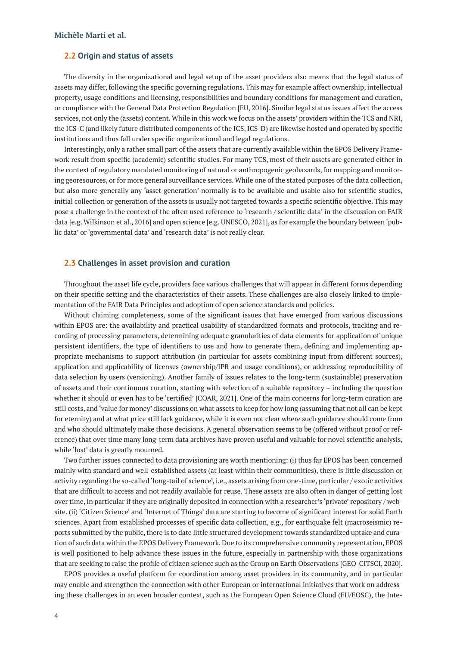## **2.2 Origin and status of assets**

The diversity in the organizational and legal setup of the asset providers also means that the legal status of assets may differ, following the specific governing regulations. This may for example affect ownership, intellectual property, usage conditions and licensing, responsibilities and boundary conditions for management and curation, or compliance with the General Data Protection Regulation [EU, 2016]. Similar legal status issues affect the access services, not only the (assets) content. While in this work we focus on the assets' providers within the TCS and NRI, the ICS-C (and likely future distributed components of the ICS, ICS-D) are likewise hosted and operated by specific institutions and thus fall under specific organizational and legal regulations.

Interestingly, only a rather small part of the assets that are currently available within the EPOS Delivery Framework result from specific (academic) scientific studies. For many TCS, most of their assets are generated either in the context of regulatory mandated monitoring of natural or anthropogenic geohazards, for mapping and monitoring georesources, or for more general surveillance services. While one of the stated purposes of the data collection, but also more generally any 'asset generation' normally is to be available and usable also for scientific studies, initial collection or generation of the assets is usually not targeted towards a specific scientific objective. This may pose a challenge in the context of the often used reference to 'research / scientific data' in the discussion on FAIR data [e.g. Wilkinson et al., 2016] and open science [e.g. UNESCO, 2021], as for example the boundary between 'public data' or 'governmental data' and 'research data' is not really clear.

## **2.3 Challenges in asset provision and curation**

Throughout the asset life cycle, providers face various challenges that will appear in different forms depending on their specific setting and the characteristics of their assets. These challenges are also closely linked to implementation of the FAIR Data Principles and adoption of open science standards and policies.

Without claiming completeness, some of the significant issues that have emerged from various discussions within EPOS are: the availability and practical usability of standardized formats and protocols, tracking and recording of processing parameters, determining adequate granularities of data elements for application of unique persistent identifiers, the type of identifiers to use and how to generate them, defining and implementing appropriate mechanisms to support attribution (in particular for assets combining input from different sources), application and applicability of licenses (ownership/IPR and usage conditions), or addressing reproducibility of data selection by users (versioning). Another family of issues relates to the long-term (sustainable) preservation of assets and their continuous curation, starting with selection of a suitable repository – including the question whether it should or even has to be 'certified' [COAR, 2021]. One of the main concerns for long-term curation are still costs, and 'value for money' discussions on what assets to keep for how long (assuming that not all can be kept for eternity) and at what price still lack guidance, while it is even not clear where such guidance should come from and who should ultimately make those decisions. A general observation seems to be (offered without proof or reference) that over time many long-term data archives have proven useful and valuable for novel scientific analysis, while 'lost' data is greatly mourned.

Two further issues connected to data provisioning are worth mentioning: (i) thus far EPOS has been concerned mainly with standard and well-established assets (at least within their communities), there is little discussion or activity regarding the so-called 'long-tail of science', i.e., assets arising from one-time, particular / exotic activities that are difficult to access and not readily available for reuse. These assets are also often in danger of getting lost over time, in particular if they are originally deposited in connection with a researcher's 'private' repository / website. (ii) 'Citizen Science' and 'Internet of Things' data are starting to become of significant interest for solid Earth sciences. Apart from established processes of specific data collection, e.g., for earthquake felt (macroseismic) reports submitted by the public, there is to date little structured development towards standardized uptake and curation of such data within the EPOS Delivery Framework. Due to its comprehensive community representation, EPOS is well positioned to help advance these issues in the future, especially in partnership with those organizations that are seeking to raise the profile of citizen science such as the Group on Earth Observations [GEO-CITSCI, 2020].

EPOS provides a useful platform for coordination among asset providers in its community, and in particular may enable and strengthen the connection with other European or international initiatives that work on addressing these challenges in an even broader context, such as the European Open Science Cloud (EU/EOSC), the Inte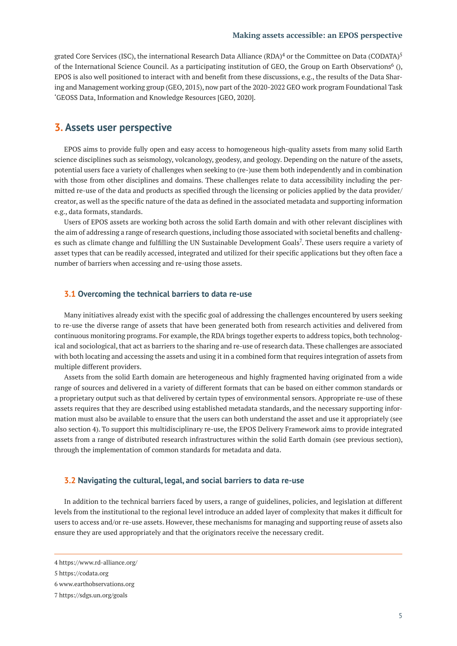grated Core Services (ISC), the international Research Data Alliance (RDA)<sup>4</sup> or the Committee on Data (CODATA)<sup>5</sup> of the International Science Council. As a participating institution of GEO, the Group on Earth Observations<sup>6</sup> (), EPOS is also well positioned to interact with and benefit from these discussions, e.g., the results of the Data Sharing and Management working group (GEO, 2015), now part of the 2020-2022 GEO work program Foundational Task 'GEOSS Data, Information and Knowledge Resources [GEO, 2020].

# **3. Assets user perspective**

EPOS aims to provide fully open and easy access to homogeneous high-quality assets from many solid Earth science disciplines such as seismology, volcanology, geodesy, and geology. Depending on the nature of the assets, potential users face a variety of challenges when seeking to (re-)use them both independently and in combination with those from other disciplines and domains. These challenges relate to data accessibility including the permitted re-use of the data and products as specified through the licensing or policies applied by the data provider/ creator, as well as the specific nature of the data as defined in the associated metadata and supporting information e.g., data formats, standards.

Users of EPOS assets are working both across the solid Earth domain and with other relevant disciplines with the aim of addressing a range of research questions, including those associated with societal benefits and challenges such as climate change and fulfilling the UN Sustainable Development Goals<sup>7</sup>. These users require a variety of asset types that can be readily accessed, integrated and utilized for their specific applications but they often face a number of barriers when accessing and re-using those assets.

#### **3.1 Overcoming the technical barriers to data re-use**

Many initiatives already exist with the specific goal of addressing the challenges encountered by users seeking to re-use the diverse range of assets that have been generated both from research activities and delivered from continuous monitoring programs. For example, the RDA brings together experts to address topics, both technological and sociological, that act as barriers to the sharing and re-use of research data. These challenges are associated with both locating and accessing the assets and using it in a combined form that requires integration of assets from multiple different providers.

Assets from the solid Earth domain are heterogeneous and highly fragmented having originated from a wide range of sources and delivered in a variety of different formats that can be based on either common standards or a proprietary output such as that delivered by certain types of environmental sensors. Appropriate re-use of these assets requires that they are described using established metadata standards, and the necessary supporting information must also be available to ensure that the users can both understand the asset and use it appropriately (see also section 4). To support this multidisciplinary re-use, the EPOS Delivery Framework aims to provide integrated assets from a range of distributed research infrastructures within the solid Earth domain (see previous section), through the implementation of common standards for metadata and data.

## **3.2 Navigating the cultural, legal, and social barriers to data re-use**

In addition to the technical barriers faced by users, a range of guidelines, policies, and legislation at different levels from the institutional to the regional level introduce an added layer of complexity that makes it difficult for users to access and/or re-use assets. However, these mechanisms for managing and supporting reuse of assets also ensure they are used appropriately and that the originators receive the necessary credit.

<sup>4</sup><https://www.rd-alliance.org/>

<sup>5</sup><https://codata.org>

<sup>6</sup> [www.earthobservations.org](http://www.earthobservations.org)

<sup>7</sup><https://sdgs.un.org/goals>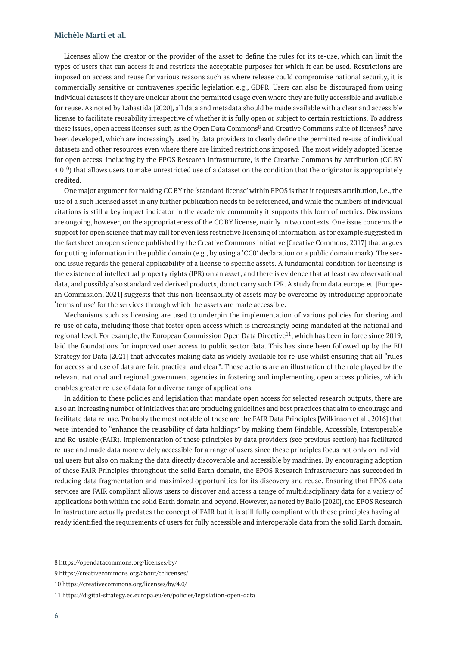Licenses allow the creator or the provider of the asset to define the rules for its re-use, which can limit the types of users that can access it and restricts the acceptable purposes for which it can be used. Restrictions are imposed on access and reuse for various reasons such as where release could compromise national security, it is commercially sensitive or contravenes specific legislation e.g., GDPR. Users can also be discouraged from using individual datasets if they are unclear about the permitted usage even where they are fully accessible and available for reuse. As noted by Labastida [2020], all data and metadata should be made available with a clear and accessible license to facilitate reusability irrespective of whether it is fully open or subject to certain restrictions. To address these issues, open access licenses such as the Open Data Commons<sup>8</sup> and Creative Commons suite of licenses<sup>9</sup> have been developed, which are increasingly used by data providers to clearly define the permitted re-use of individual datasets and other resources even where there are limited restrictions imposed. The most widely adopted license for open access, including by the EPOS Research Infrastructure, is the Creative Commons by Attribution (CC BY  $4.0^{10}$ ) that allows users to make unrestricted use of a dataset on the condition that the originator is appropriately credited.

One major argument for making CC BY the 'standard license' within EPOS is that it requests attribution, i.e., the use of a such licensed asset in any further publication needs to be referenced, and while the numbers of individual citations is still a key impact indicator in the academic community it supports this form of metrics. Discussions are ongoing, however, on the appropriateness of the CC BY license, mainly in two contexts. One issue concerns the support for open science that may call for even less restrictive licensing of information, as for example suggested in the factsheet on open science published by the Creative Commons initiative [Creative Commons, 2017] that argues for putting information in the public domain (e.g., by using a 'CC0' declaration or a public domain mark). The second issue regards the general applicability of a license to specific assets. A fundamental condition for licensing is the existence of intellectual property rights (IPR) on an asset, and there is evidence that at least raw observational data, and possibly also standardized derived products, do not carry such IPR. A study from data.europe.eu [European Commission, 2021] suggests that this non-licensability of assets may be overcome by introducing appropriate 'terms of use' for the services through which the assets are made accessible.

Mechanisms such as licensing are used to underpin the implementation of various policies for sharing and re-use of data, including those that foster open access which is increasingly being mandated at the national and regional level. For example, the European Commission Open Data Directive<sup>11</sup>, which has been in force since 2019, laid the foundations for improved user access to public sector data. This has since been followed up by the EU Strategy for Data [2021] that advocates making data as widely available for re-use whilst ensuring that all "rules for access and use of data are fair, practical and clear". These actions are an illustration of the role played by the relevant national and regional government agencies in fostering and implementing open access policies, which enables greater re-use of data for a diverse range of applications.

In addition to these policies and legislation that mandate open access for selected research outputs, there are also an increasing number of initiatives that are producing guidelines and best practices that aim to encourage and facilitate data re-use. Probably the most notable of these are the FAIR Data Principles [Wilkinson et al., 2016] that were intended to "enhance the reusability of data holdings" by making them Findable, Accessible, Interoperable and Re-usable (FAIR). Implementation of these principles by data providers (see previous section) has facilitated re-use and made data more widely accessible for a range of users since these principles focus not only on individual users but also on making the data directly discoverable and accessible by machines. By encouraging adoption of these FAIR Principles throughout the solid Earth domain, the EPOS Research Infrastructure has succeeded in reducing data fragmentation and maximized opportunities for its discovery and reuse. Ensuring that EPOS data services are FAIR compliant allows users to discover and access a range of multidisciplinary data for a variety of applications both within the solid Earth domain and beyond. However, as noted by Bailo [2020], the EPOS Research Infrastructure actually predates the concept of FAIR but it is still fully compliant with these principles having already identified the requirements of users for fully accessible and interoperable data from the solid Earth domain.

<sup>8</sup><https://opendatacommons.org/licenses/by/>

<sup>9</sup><https://creativecommons.org/about/cclicenses/>

<sup>10</sup><https://creativecommons.org/licenses/by/4.0/>

<sup>11</sup><https://digital-strategy.ec.europa.eu/en/policies/legislation-open-data>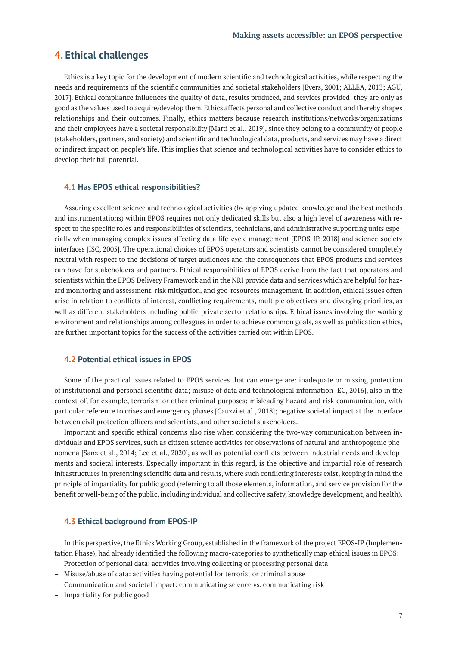# **4. Ethical challenges**

Ethics is a key topic for the development of modern scientific and technological activities, while respecting the needs and requirements of the scientific communities and societal stakeholders [Evers, 2001; ALLEA, 2013; AGU, 2017]. Ethical compliance influences the quality of data, results produced, and services provided: they are only as good as the values used to acquire/develop them. Ethics affects personal and collective conduct and thereby shapes relationships and their outcomes. Finally, ethics matters because research institutions/networks/organizations and their employees have a societal responsibility [Marti et al., 2019], since they belong to a community of people (stakeholders, partners, and society) and scientific and technological data, products, and services may have a direct or indirect impact on people's life. This implies that science and technological activities have to consider ethics to develop their full potential.

#### **4.1 Has EPOS ethical responsibilities?**

Assuring excellent science and technological activities (by applying updated knowledge and the best methods and instrumentations) within EPOS requires not only dedicated skills but also a high level of awareness with respect to the specific roles and responsibilities of scientists, technicians, and administrative supporting units especially when managing complex issues affecting data life-cycle management [EPOS-IP, 2018] and science-society interfaces [ISC, 2005]. The operational choices of EPOS operators and scientists cannot be considered completely neutral with respect to the decisions of target audiences and the consequences that EPOS products and services can have for stakeholders and partners. Ethical responsibilities of EPOS derive from the fact that operators and scientists within the EPOS Delivery Framework and in the NRI provide data and services which are helpful for hazard monitoring and assessment, risk mitigation, and geo-resources management. In addition, ethical issues often arise in relation to conflicts of interest, conflicting requirements, multiple objectives and diverging priorities, as well as different stakeholders including public-private sector relationships. Ethical issues involving the working environment and relationships among colleagues in order to achieve common goals, as well as publication ethics, are further important topics for the success of the activities carried out within EPOS.

#### **4.2 Potential ethical issues in EPOS**

Some of the practical issues related to EPOS services that can emerge are: inadequate or missing protection of institutional and personal scientific data; misuse of data and technological information [EC, 2016], also in the context of, for example, terrorism or other criminal purposes; misleading hazard and risk communication, with particular reference to crises and emergency phases [Cauzzi et al., 2018]; negative societal impact at the interface between civil protection officers and scientists, and other societal stakeholders.

Important and specific ethical concerns also rise when considering the two-way communication between individuals and EPOS services, such as citizen science activities for observations of natural and anthropogenic phenomena [Sanz et al., 2014; Lee et al., 2020], as well as potential conflicts between industrial needs and developments and societal interests. Especially important in this regard, is the objective and impartial role of research infrastructures in presenting scientific data and results, where such conflicting interests exist, keeping in mind the principle of impartiality for public good (referring to all those elements, information, and service provision for the benefit or well-being of the public, including individual and collective safety, knowledge development, and health).

#### **4.3 Ethical background from EPOS-IP**

In this perspective, the Ethics Working Group, established in the framework of the project EPOS-IP (Implementation Phase), had already identified the following macro-categories to synthetically map ethical issues in EPOS:

- Protection of personal data: activities involving collecting or processing personal data
- Misuse/abuse of data: activities having potential for terrorist or criminal abuse
- Communication and societal impact: communicating science vs. communicating risk
- Impartiality for public good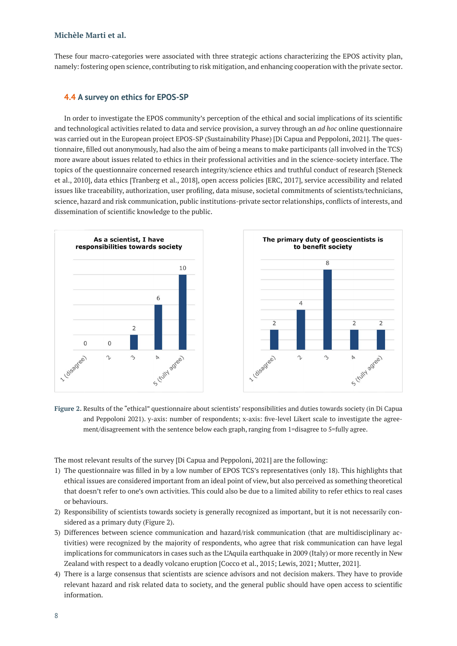These four macro-categories were associated with three strategic actions characterizing the EPOS activity plan, namely: fostering open science, contributing to risk mitigation, and enhancing cooperation with the private sector.

# **4.4 A survey on ethics for EPOS-SP**

In order to investigate the EPOS community's perception of the ethical and social implications of its scientific and technological activities related to data and service provision, a survey through an *ad hoc* online questionnaire was carried out in the European project EPOS-SP (Sustainability Phase) [Di Capua and Peppoloni, 2021]. The questionnaire, filled out anonymously, had also the aim of being a means to make participants (all involved in the TCS) more aware about issues related to ethics in their professional activities and in the science-society interface. The topics of the questionnaire concerned research integrity/science ethics and truthful conduct of research [Steneck et al., 2010], data ethics [Tranberg et al., 2018], open access policies [ERC, 2017], service accessibility and related issues like traceability, authorization, user profiling, data misuse, societal commitments of scientists/technicians, science, hazard and risk communication, public institutions-private sector relationships, conflicts of interests, and dissemination of scientific knowledge to the public.



**Figure 2.** Results of the "ethical" questionnaire about scientists' responsibilities and duties towards society (in Di Capua and Peppoloni 2021). y-axis: number of respondents; x-axis: five-level Likert scale to investigate the agreement/disagreement with the sentence below each graph, ranging from 1=disagree to 5=fully agree.

The most relevant results of the survey [Di Capua and Peppoloni, 2021] are the following:

- 1) The questionnaire was filled in by a low number of EPOS TCS's representatives (only 18). This highlights that ethical issues are considered important from an ideal point of view, but also perceived as something theoretical that doesn't refer to one's own activities. This could also be due to a limited ability to refer ethics to real cases or behaviours.
- 2) Responsibility of scientists towards society is generally recognized as important, but it is not necessarily considered as a primary duty (Figure 2).
- 3) Differences between science communication and hazard/risk communication (that are multidisciplinary activities) were recognized by the majority of respondents, who agree that risk communication can have legal implications for communicators in cases such as the L'Aquila earthquake in 2009 (Italy) or more recently in New Zealand with respect to a deadly volcano eruption [Cocco et al., 2015; Lewis, 2021; Mutter, 2021].
- 4) There is a large consensus that scientists are science advisors and not decision makers. They have to provide relevant hazard and risk related data to society, and the general public should have open access to scientific information.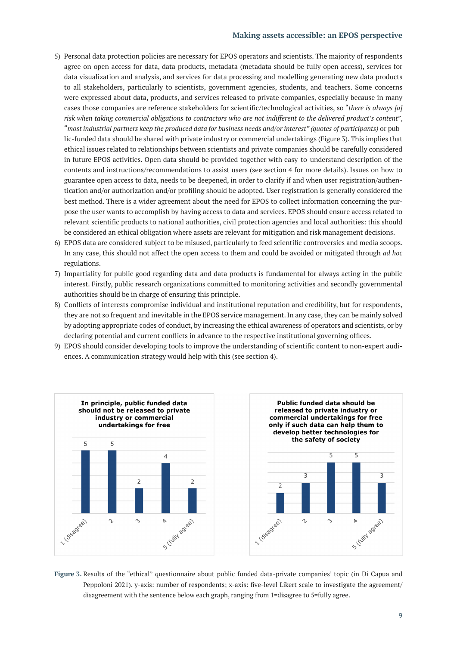## **Making assets accessible: an EPOS perspective**

- 5) Personal data protection policies are necessary for EPOS operators and scientists. The majority of respondents agree on open access for data, data products, metadata (metadata should be fully open access), services for data visualization and analysis, and services for data processing and modelling generating new data products to all stakeholders, particularly to scientists, government agencies, students, and teachers. Some concerns were expressed about data, products, and services released to private companies, especially because in many cases those companies are reference stakeholders for scientific/technological activities, so "*there is always [a] risk when taking commercial obligations to contractors who are not indifferent to the delivered product's content*", "*most industrial partners keep the produced data for business needs and/or interest" (quotes of participants)* or public-funded data should be shared with private industry or commercial undertakings (Figure 3). This implies that ethical issues related to relationships between scientists and private companies should be carefully considered in future EPOS activities. Open data should be provided together with easy-to-understand description of the contents and instructions/recommendations to assist users (see section 4 for more details). Issues on how to guarantee open access to data, needs to be deepened, in order to clarify if and when user registration/authentication and/or authorization and/or profiling should be adopted. User registration is generally considered the best method. There is a wider agreement about the need for EPOS to collect information concerning the purpose the user wants to accomplish by having access to data and services. EPOS should ensure access related to relevant scientific products to national authorities, civil protection agencies and local authorities: this should be considered an ethical obligation where assets are relevant for mitigation and risk management decisions.
- 6) EPOS data are considered subject to be misused, particularly to feed scientific controversies and media scoops. In any case, this should not affect the open access to them and could be avoided or mitigated through *ad hoc* regulations.
- 7) Impartiality for public good regarding data and data products is fundamental for always acting in the public interest. Firstly, public research organizations committed to monitoring activities and secondly governmental authorities should be in charge of ensuring this principle.
- 8) Conflicts of interests compromise individual and institutional reputation and credibility, but for respondents, they are not so frequent and inevitable in the EPOS service management. In any case, they can be mainly solved by adopting appropriate codes of conduct, by increasing the ethical awareness of operators and scientists, or by declaring potential and current conflicts in advance to the respective institutional governing offices.
- 9) EPOS should consider developing tools to improve the understanding of scientific content to non-expert audiences. A communication strategy would help with this (see section 4).



**Figure 3.** Results of the "ethical" questionnaire about public funded data-private companies' topic (in Di Capua and Peppoloni 2021). y-axis: number of respondents; x-axis: five-level Likert scale to investigate the agreement/ disagreement with the sentence below each graph, ranging from 1=disagree to 5=fully agree.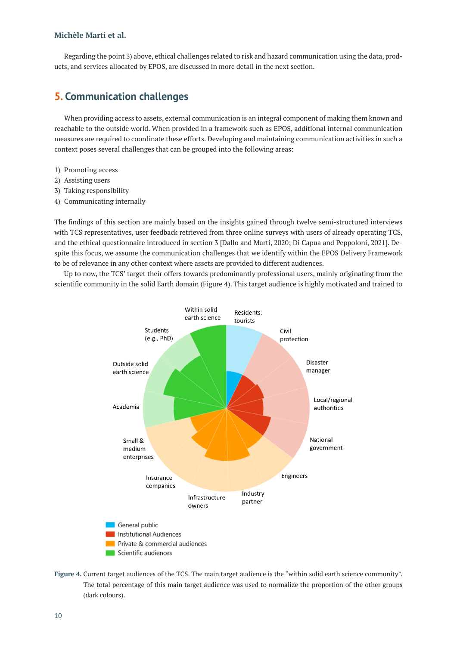Regarding the point 3) above, ethical challenges related to risk and hazard communication using the data, products, and services allocated by EPOS, are discussed in more detail in the next section.

# **5. Communication challenges**

When providing access to assets, external communication is an integral component of making them known and reachable to the outside world. When provided in a framework such as EPOS, additional internal communication measures are required to coordinate these efforts. Developing and maintaining communication activities in such a context poses several challenges that can be grouped into the following areas:

- 1) Promoting access
- 2) Assisting users
- 3) Taking responsibility
- 4) Communicating internally

The findings of this section are mainly based on the insights gained through twelve semi-structured interviews with TCS representatives, user feedback retrieved from three online surveys with users of already operating TCS, and the ethical questionnaire introduced in section 3 [Dallo and Marti, 2020; Di Capua and Peppoloni, 2021]. Despite this focus, we assume the communication challenges that we identify within the EPOS Delivery Framework to be of relevance in any other context where assets are provided to different audiences.

Up to now, the TCS' target their offers towards predominantly professional users, mainly originating from the scientific community in the solid Earth domain (Figure 4). This target audience is highly motivated and trained to



**Figure 4.** Current target audiences of the TCS. The main target audience is the "within solid earth science community". The total percentage of this main target audience was used to normalize the proportion of the other groups (dark colours).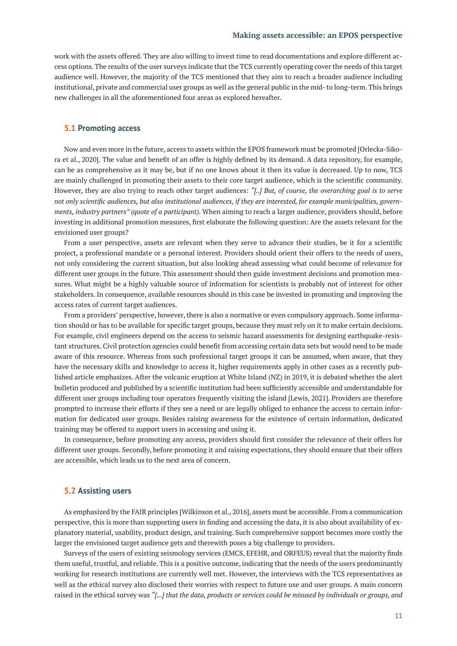work with the assets offered. They are also willing to invest time to read documentations and explore different access options. The results of the user surveys indicate that the TCS currently operating cover the needs of this target audience well. However, the majority of the TCS mentioned that they aim to reach a broader audience including institutional, private and commercial user groups as well as the general public in the mid- to long-term. This brings new challenges in all the aforementioned four areas as explored hereafter.

#### **5.1 Promoting access**

Now and even more in the future, access to assets within the EPOS framework must be promoted [Orlecka-Sikora et al., 2020]. The value and benefit of an offer is highly defined by its demand. A data repository, for example, can be as comprehensive as it may be, but if no one knows about it then its value is decreased. Up to now, TCS are mainly challenged in promoting their assets to their core target audience, which is the scientific community. However, they are also trying to reach other target audiences: *"[..] But, of course, the overarching goal is to serve not only scientific audiences, but also institutional audiences, if they are interested, for example municipalities, governments, industry partners" (quote of a participant).* When aiming to reach a larger audience, providers should, before investing in additional promotion measures, first elaborate the following question: Are the assets relevant for the envisioned user groups?

From a user perspective, assets are relevant when they serve to advance their studies, be it for a scientific project, a professional mandate or a personal interest. Providers should orient their offers to the needs of users, not only considering the current situation, but also looking ahead assessing what could become of relevance for different user groups in the future. This assessment should then guide investment decisions and promotion measures. What might be a highly valuable source of information for scientists is probably not of interest for other stakeholders. In consequence, available resources should in this case be invested in promoting and improving the access rates of current target audiences.

From a providers' perspective, however, there is also a normative or even compulsory approach. Some information should or has to be available for specific target groups, because they must rely on it to make certain decisions. For example, civil engineers depend on the access to seismic hazard assessments for designing earthquake-resistant structures. Civil protection agencies could benefit from accessing certain data sets but would need to be made aware of this resource. Whereas from such professional target groups it can be assumed, when aware, that they have the necessary skills and knowledge to access it, higher requirements apply in other cases as a recently published article emphasizes. After the volcanic eruption at White Island (NZ) in 2019, it is debated whether the alert bulletin produced and published by a scientific institution had been sufficiently accessible and understandable for different user groups including tour operators frequently visiting the island [Lewis, 2021]. Providers are therefore prompted to increase their efforts if they see a need or are legally obliged to enhance the access to certain information for dedicated user groups. Besides raising awareness for the existence of certain information, dedicated training may be offered to support users in accessing and using it.

In consequence, before promoting any access, providers should first consider the relevance of their offers for different user groups. Secondly, before promoting it and raising expectations, they should ensure that their offers are accessible, which leads us to the next area of concern.

## **5.2 Assisting users**

As emphasized by the FAIR principles [Wilkinson et al., 2016], assets must be accessible. From a communication perspective, this is more than supporting users in finding and accessing the data, it is also about availability of explanatory material, usability, product design, and training. Such comprehensive support becomes more costly the larger the envisioned target audience gets and therewith poses a big challenge to providers.

Surveys of the users of existing seismology services (EMCS, EFEHR, and ORFEUS) reveal that the majority finds them useful, trustful, and reliable. This is a positive outcome, indicating that the needs of the users predominantly working for research institutions are currently well met. However, the interviews with the TCS representatives as well as the ethical survey also disclosed their worries with respect to future use and user groups. A main concern raised in the ethical survey was *"[...] that the data, products or services could be misused by individuals or groups, and*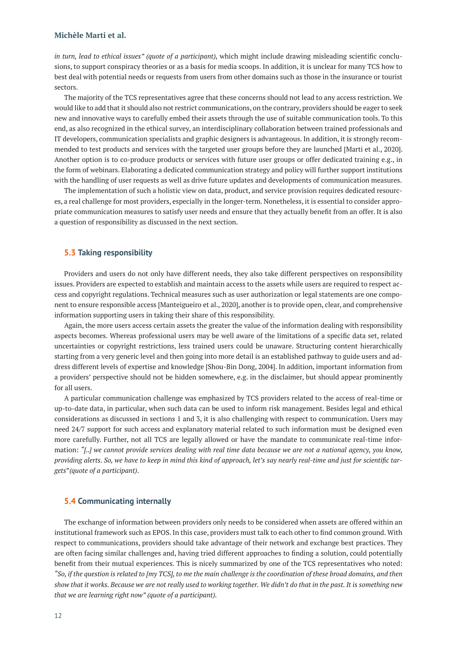*in turn, lead to ethical issues" (quote of a participant),* which might include drawing misleading scientific conclusions, to support conspiracy theories or as a basis for media scoops. In addition, it is unclear for many TCS how to best deal with potential needs or requests from users from other domains such as those in the insurance or tourist sectors.

The majority of the TCS representatives agree that these concerns should not lead to any access restriction. We would like to add that it should also not restrict communications, on the contrary, providers should be eager to seek new and innovative ways to carefully embed their assets through the use of suitable communication tools. To this end, as also recognized in the ethical survey, an interdisciplinary collaboration between trained professionals and IT developers, communication specialists and graphic designers is advantageous. In addition, it is strongly recommended to test products and services with the targeted user groups before they are launched [Marti et al., 2020]. Another option is to co-produce products or services with future user groups or offer dedicated training e.g., in the form of webinars. Elaborating a dedicated communication strategy and policy will further support institutions with the handling of user requests as well as drive future updates and developments of communication measures.

The implementation of such a holistic view on data, product, and service provision requires dedicated resources, a real challenge for most providers, especially in the longer-term. Nonetheless, it is essential to consider appropriate communication measures to satisfy user needs and ensure that they actually benefit from an offer. It is also a question of responsibility as discussed in the next section.

## **5.3 Taking responsibility**

Providers and users do not only have different needs, they also take different perspectives on responsibility issues. Providers are expected to establish and maintain access to the assets while users are required to respect access and copyright regulations. Technical measures such as user authorization or legal statements are one component to ensure responsible access [Manteigueiro et al., 2020], another is to provide open, clear, and comprehensive information supporting users in taking their share of this responsibility.

Again, the more users access certain assets the greater the value of the information dealing with responsibility aspects becomes. Whereas professional users may be well aware of the limitations of a specific data set, related uncertainties or copyright restrictions, less trained users could be unaware. Structuring content hierarchically starting from a very generic level and then going into more detail is an established pathway to guide users and address different levels of expertise and knowledge [Shou-Bin Dong, 2004]. In addition, important information from a providers' perspective should not be hidden somewhere, e.g. in the disclaimer, but should appear prominently for all users.

A particular communication challenge was emphasized by TCS providers related to the access of real-time or up-to-date data, in particular, when such data can be used to inform risk management. Besides legal and ethical considerations as discussed in sections 1 and 3, it is also challenging with respect to communication. Users may need 24/7 support for such access and explanatory material related to such information must be designed even more carefully. Further, not all TCS are legally allowed or have the mandate to communicate real-time information: *"[..] we cannot provide services dealing with real time data because we are not a national agency, you know, providing alerts. So, we have to keep in mind this kind of approach, let's say nearly real-time and just for scientific targets*"*(quote of a participant)*.

#### **5.4 Communicating internally**

The exchange of information between providers only needs to be considered when assets are offered within an institutional framework such as EPOS. In this case, providers must talk to each other to find common ground. With respect to communications, providers should take advantage of their network and exchange best practices. They are often facing similar challenges and, having tried different approaches to finding a solution, could potentially benefit from their mutual experiences. This is nicely summarized by one of the TCS representatives who noted: *"So, if the question is related to [my TCS], to me the main challenge is the coordination of these broad domains, and then show that it works. Because we are not really used to working together. We didn't do that in the past. It is something new that we are learning right now" (quote of a participant).*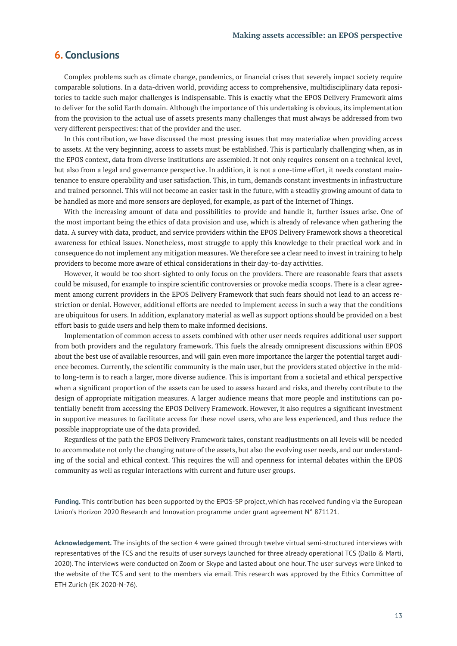# **6. Conclusions**

Complex problems such as climate change, pandemics, or financial crises that severely impact society require comparable solutions. In a data-driven world, providing access to comprehensive, multidisciplinary data repositories to tackle such major challenges is indispensable. This is exactly what the EPOS Delivery Framework aims to deliver for the solid Earth domain. Although the importance of this undertaking is obvious, its implementation from the provision to the actual use of assets presents many challenges that must always be addressed from two very different perspectives: that of the provider and the user.

In this contribution, we have discussed the most pressing issues that may materialize when providing access to assets. At the very beginning, access to assets must be established. This is particularly challenging when, as in the EPOS context, data from diverse institutions are assembled. It not only requires consent on a technical level, but also from a legal and governance perspective. In addition, it is not a one-time effort, it needs constant maintenance to ensure operability and user satisfaction. This, in turn, demands constant investments in infrastructure and trained personnel. This will not become an easier task in the future, with a steadily growing amount of data to be handled as more and more sensors are deployed, for example, as part of the Internet of Things.

With the increasing amount of data and possibilities to provide and handle it, further issues arise. One of the most important being the ethics of data provision and use, which is already of relevance when gathering the data. A survey with data, product, and service providers within the EPOS Delivery Framework shows a theoretical awareness for ethical issues. Nonetheless, most struggle to apply this knowledge to their practical work and in consequence do not implement any mitigation measures. We therefore see a clear need to invest in training to help providers to become more aware of ethical considerations in their day-to-day activities.

However, it would be too short-sighted to only focus on the providers. There are reasonable fears that assets could be misused, for example to inspire scientific controversies or provoke media scoops. There is a clear agreement among current providers in the EPOS Delivery Framework that such fears should not lead to an access restriction or denial. However, additional efforts are needed to implement access in such a way that the conditions are ubiquitous for users. In addition, explanatory material as well as support options should be provided on a best effort basis to guide users and help them to make informed decisions.

Implementation of common access to assets combined with other user needs requires additional user support from both providers and the regulatory framework. This fuels the already omnipresent discussions within EPOS about the best use of available resources, and will gain even more importance the larger the potential target audience becomes. Currently, the scientific community is the main user, but the providers stated objective in the midto long-term is to reach a larger, more diverse audience. This is important from a societal and ethical perspective when a significant proportion of the assets can be used to assess hazard and risks, and thereby contribute to the design of appropriate mitigation measures. A larger audience means that more people and institutions can potentially benefit from accessing the EPOS Delivery Framework. However, it also requires a significant investment in supportive measures to facilitate access for these novel users, who are less experienced, and thus reduce the possible inappropriate use of the data provided.

Regardless of the path the EPOS Delivery Framework takes, constant readjustments on all levels will be needed to accommodate not only the changing nature of the assets, but also the evolving user needs, and our understanding of the social and ethical context. This requires the will and openness for internal debates within the EPOS community as well as regular interactions with current and future user groups.

**Funding.** This contribution has been supported by the EPOS-SP project, which has received funding via the European Union's Horizon 2020 Research and Innovation programme under grant agreement N° 871121.

**Acknowledgement.** The insights of the section 4 were gained through twelve virtual semi-structured interviews with representatives of the TCS and the results of user surveys launched for three already operational TCS (Dallo & Marti, 2020). The interviews were conducted on Zoom or Skype and lasted about one hour. The user surveys were linked to the website of the TCS and sent to the members via email. This research was approved by the Ethics Committee of ETH Zurich (EK 2020-N-76).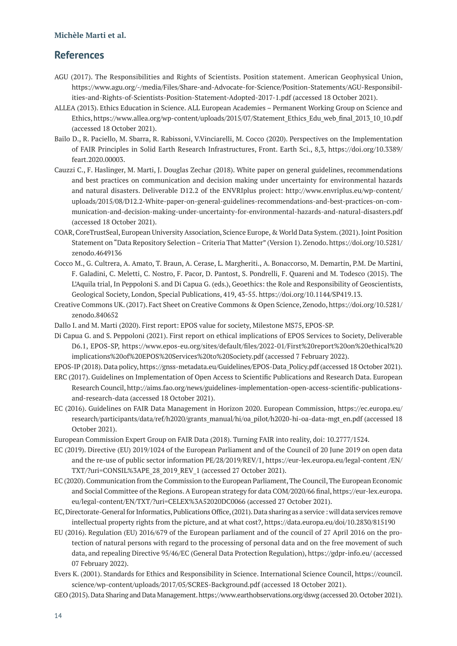# **References**

- AGU (2017). The Responsibilities and Rights of Scientists. Position statement. American Geophysical Union, [https://www.agu.org/-/media/Files/Share-and-Advocate-for-Science/Position-Statements/AGU-Responsibil](https://www.agu.org/-/media/Files/Share-and-Advocate-for-Science/Position-Statements/AGU-Responsibilities-and-Rights-of-Scientists-Position-Statement-Adopted-2017-1.pdf)[ities-and-Rights-of-Scientists-Position-Statement-Adopted-2017-1.pdf](https://www.agu.org/-/media/Files/Share-and-Advocate-for-Science/Position-Statements/AGU-Responsibilities-and-Rights-of-Scientists-Position-Statement-Adopted-2017-1.pdf) (accessed 18 October 2021).
- ALLEA (2013). Ethics Education in Science. ALL European Academies Permanent Working Group on Science and Ethics[, https://www.allea.org/wp-content/uploads/2015/07/Statement\\_Ethics\\_Edu\\_web\\_final\\_2013\\_10\\_10.pdf](https://www.allea.org/wp-content/uploads/2015/07/Statement_Ethics_Edu_web_final_2013_10_10.pdf) (accessed 18 October 2021).
- Bailo D., R. Paciello, M. Sbarra, R. Rabissoni, V.Vinciarelli, M. Cocco (2020). Perspectives on the Implementation of FAIR Principles in Solid Earth Research Infrastructures, Front. Earth Sci., 8,3, [https://doi.org/10.3389/](https://doi.org/10.3389/feart.2020.00003) [feart.2020.00003.](https://doi.org/10.3389/feart.2020.00003)
- Cauzzi C., F. Haslinger, M. Marti, J. Douglas Zechar (2018). White paper on general guidelines, recommendations and best practices on communication and decision making under uncertainty for environmental hazards and natural disasters. Deliverable D12.2 of the ENVRIplus project: [http://www.envriplus.eu/wp-content/](http://www.envriplus.eu/wp-content/uploads/2015/08/D12.2-White-paper-on-general-guidelines-recommendations-and-best-practices-on-communication-and-decision-making-under-uncertainty-for-environmental-hazards-and-natural-disasters.pdf) [uploads/2015/08/D12.2-White-paper-on-general-guidelines-recommendations-and-best-practices-on-com](http://www.envriplus.eu/wp-content/uploads/2015/08/D12.2-White-paper-on-general-guidelines-recommendations-and-best-practices-on-communication-and-decision-making-under-uncertainty-for-environmental-hazards-and-natural-disasters.pdf)[munication-and-decision-making-under-uncertainty-for-environmental-hazards-and-natural-disasters.pdf](http://www.envriplus.eu/wp-content/uploads/2015/08/D12.2-White-paper-on-general-guidelines-recommendations-and-best-practices-on-communication-and-decision-making-under-uncertainty-for-environmental-hazards-and-natural-disasters.pdf) (accessed 18 October 2021).
- COAR, CoreTrustSeal, European University Association, Science Europe, & World Data System. (2021). Joint Position Statement on "Data Repository Selection – Criteria That Matter" (Version 1). Zenodo[. https://doi.org/10.5281/](https://doi.org/10.5281/zenodo.4649136) [zenodo.4649136](https://doi.org/10.5281/zenodo.4649136)
- Cocco M., G. Cultrera, A. Amato, T. Braun, A. Cerase, L. Margheriti., A. Bonaccorso, M. Demartin, P.M. De Martini, F. Galadini, C. Meletti, C. Nostro, F. Pacor, D. Pantost, S. Pondrelli, F. Quareni and M. Todesco (2015). The L'Aquila trial, In Peppoloni S. and Di Capua G. (eds.), Geoethics: the Role and Responsibility of Geoscientists, Geological Society, London, Special Publications, 419, 43-55. [https://doi.org/10.1144/SP419.13.](https://doi.org/10.1144/SP419.13)
- Creative Commons UK. (2017). Fact Sheet on Creative Commons & Open Science, Zenodo, [https://doi.org/10.5281/](https://doi.org/10.5281/zenodo.840652) [zenodo.840652](https://doi.org/10.5281/zenodo.840652)
- Dallo I. and M. Marti (2020). First report: EPOS value for society, Milestone MS75, EPOS-SP.
- Di Capua G. and S. Peppoloni (2021). First report on ethical implications of EPOS Services to Society, Deliverable D6.1, EPOS-SP, [https://www.epos-eu.org/sites/default/files/2022-01/First%20report%20on%20ethical%20](https://www.epos-eu.org/sites/default/files/2022-01/First%20report%20on%20ethical%20implications%20of%20EPOS%20Services%20to%20Society.pdf) [implications%20of%20EPOS%20Services%20to%20Society.pdf](https://www.epos-eu.org/sites/default/files/2022-01/First%20report%20on%20ethical%20implications%20of%20EPOS%20Services%20to%20Society.pdf) (accessed 7 February 2022).
- EPOS-IP (2018). Data policy[, https://gnss-metadata.eu/Guidelines/EPOS-Data\\_Policy.pdf](https://gnss-metadata.eu/Guidelines/EPOS-Data_Policy.pdf) (accessed 18 October 2021).
- ERC (2017). Guidelines on Implementation of Open Access to Scientific Publications and Research Data. European Research Council, [http://aims.fao.org/news/guidelines-implementation-open-access-scientific-publications](http://aims.fao.org/news/guidelines-implementation-open-access-scientific-publications-and-research-data)[and-research-data](http://aims.fao.org/news/guidelines-implementation-open-access-scientific-publications-and-research-data) (accessed 18 October 2021).
- EC (2016). Guidelines on FAIR Data Management in Horizon 2020. European Commission[, https://ec.europa.eu/](https://ec.europa.eu/research/participants/data/ref/h2020/grants_manual/hi/oa_pilot/h2020-hi-oa-data-mgt_en.pdf) [research/participants/data/ref/h2020/grants\\_manual/hi/oa\\_pilot/h2020-hi-oa-data-mgt\\_en.pdf](https://ec.europa.eu/research/participants/data/ref/h2020/grants_manual/hi/oa_pilot/h2020-hi-oa-data-mgt_en.pdf) (accessed 18 October 2021).
- European Commission Expert Group on FAIR Data (2018). Turning FAIR into reality, doi: 10.2777/1524.
- EC (2019). Directive (EU) 2019/1024 of the European Parliament and of the Council of 20 June 2019 on open data and the re-use of public sector information PE/28/2019/REV/1, [https://eur-lex.europa.eu/legal-content /EN/](https://eur-lex.europa.eu/legal-content/EN/TXT/?uri=CONSIL%3APE_28_2019_REV_1) [TXT/?uri=CONSIL%3APE\\_28\\_2019\\_REV\\_1](https://eur-lex.europa.eu/legal-content/EN/TXT/?uri=CONSIL%3APE_28_2019_REV_1) (accessed 27 October 2021).
- EC (2020). Communication from the Commission to the European Parliament, The Council, The European Economic and Social Committee of the Regions. A European strategy for data COM/2020/66 final, [https://eur-lex.europa.](https://eur-lex.europa.eu/legal-content/EN/TXT/?uri=CELEX%3A52020DC0066) [eu/legal-content/EN/TXT/?uri=CELEX%3A52020DC0066](https://eur-lex.europa.eu/legal-content/EN/TXT/?uri=CELEX%3A52020DC0066) (accessed 27 October 2021).
- EC, Directorate-General for Informatics, Publications Office, (2021). Data sharing as a service : will data services remove intellectual property rights from the picture, and at what cost?, <https://data.europa.eu/doi/10.2830/815190>
- EU (2016). Regulation (EU) 2016/679 of the European parliament and of the council of 27 April 2016 on the protection of natural persons with regard to the processing of personal data and on the free movement of such data, and repealing Directive 95/46/EC (General Data Protection Regulation),<https://gdpr-info.eu/>(accessed 07 February 2022).
- Evers K. (2001). Standards for Ethics and Responsibility in Science. International Science Council[, https://council.](https://council.science/wp-content/uploads/2017/05/SCRES-Background.pdf) [science/wp-content/uploads/2017/05/SCRES-Background.pdf](https://council.science/wp-content/uploads/2017/05/SCRES-Background.pdf) (accessed 18 October 2021).
- GEO (2015). Data Sharing and Data Management.<https://www.earthobservations.org/dswg> (accessed 20. October 2021).